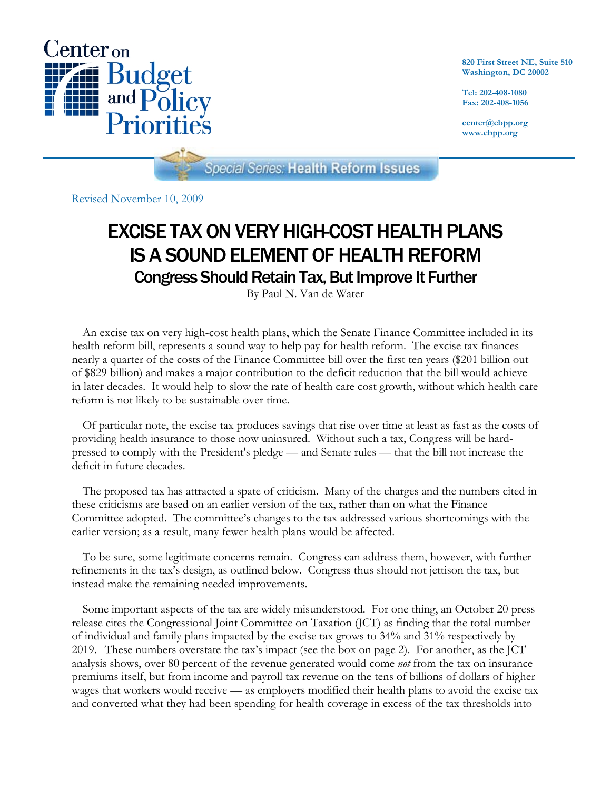

**820 First Street NE, Suite 510 Washington, DC 20002** 

**Tel: 202-408-1080 Fax: 202-408-1056** 

**center@cbpp.org www.cbpp.org** 

**Special Series: Health Reform Issues** 

Revised November 10, 2009

# EXCISE TAX ON VERY HIGH-COST HEALTH PLANS IS A SOUND ELEMENT OF HEALTH REFORM Congress Should Retain Tax, But Improve It Further

By Paul N. Van de Water

An excise tax on very high-cost health plans, which the Senate Finance Committee included in its health reform bill, represents a sound way to help pay for health reform. The excise tax finances nearly a quarter of the costs of the Finance Committee bill over the first ten years (\$201 billion out of \$829 billion) and makes a major contribution to the deficit reduction that the bill would achieve in later decades. It would help to slow the rate of health care cost growth, without which health care reform is not likely to be sustainable over time.

Of particular note, the excise tax produces savings that rise over time at least as fast as the costs of providing health insurance to those now uninsured. Without such a tax, Congress will be hardpressed to comply with the President's pledge — and Senate rules — that the bill not increase the deficit in future decades.

The proposed tax has attracted a spate of criticism. Many of the charges and the numbers cited in these criticisms are based on an earlier version of the tax, rather than on what the Finance Committee adopted. The committee's changes to the tax addressed various shortcomings with the earlier version; as a result, many fewer health plans would be affected.

To be sure, some legitimate concerns remain. Congress can address them, however, with further refinements in the tax's design, as outlined below. Congress thus should not jettison the tax, but instead make the remaining needed improvements.

Some important aspects of the tax are widely misunderstood. For one thing, an October 20 press release cites the Congressional Joint Committee on Taxation (JCT) as finding that the total number of individual and family plans impacted by the excise tax grows to 34% and 31% respectively by 2019. These numbers overstate the tax's impact (see the box on page 2). For another, as the JCT analysis shows, over 80 percent of the revenue generated would come *not* from the tax on insurance premiums itself, but from income and payroll tax revenue on the tens of billions of dollars of higher wages that workers would receive — as employers modified their health plans to avoid the excise tax and converted what they had been spending for health coverage in excess of the tax thresholds into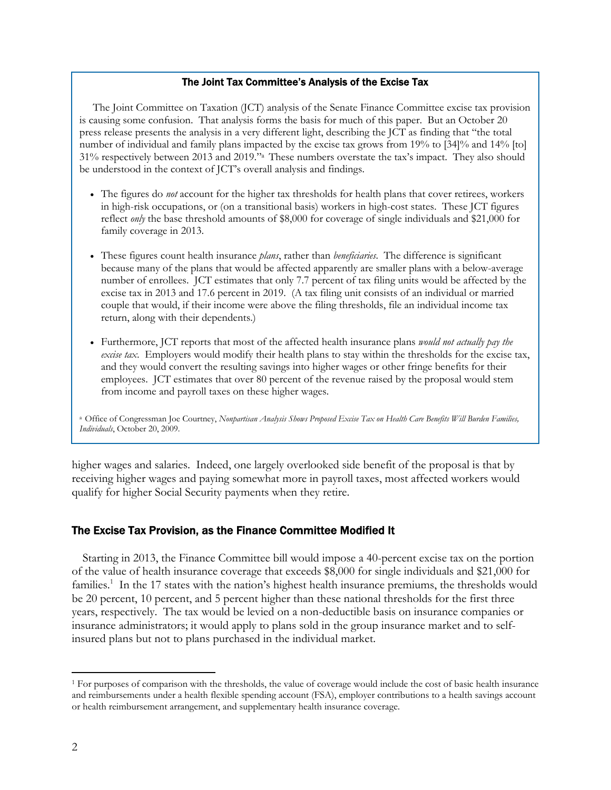#### The Joint Tax Committee's Analysis of the Excise Tax

The Joint Committee on Taxation (JCT) analysis of the Senate Finance Committee excise tax provision is causing some confusion. That analysis forms the basis for much of this paper. But an October 20 press release presents the analysis in a very different light, describing the JCT as finding that "the total number of individual and family plans impacted by the excise tax grows from 19% to [34]% and 14% [to] 31% respectively between 2013 and 2019."a These numbers overstate the tax's impact. They also should be understood in the context of JCT's overall analysis and findings.

- The figures do *not* account for the higher tax thresholds for health plans that cover retirees, workers in high-risk occupations, or (on a transitional basis) workers in high-cost states. These JCT figures reflect *only* the base threshold amounts of \$8,000 for coverage of single individuals and \$21,000 for family coverage in 2013.
- These figures count health insurance *plans*, rather than *beneficiaries*. The difference is significant because many of the plans that would be affected apparently are smaller plans with a below-average number of enrollees. JCT estimates that only 7.7 percent of tax filing units would be affected by the excise tax in 2013 and 17.6 percent in 2019. (A tax filing unit consists of an individual or married couple that would, if their income were above the filing thresholds, file an individual income tax return, along with their dependents.)
- Furthermore, JCT reports that most of the affected health insurance plans *would not actually pay the excise tax*. Employers would modify their health plans to stay within the thresholds for the excise tax, and they would convert the resulting savings into higher wages or other fringe benefits for their employees. JCT estimates that over 80 percent of the revenue raised by the proposal would stem from income and payroll taxes on these higher wages.

a Office of Congressman Joe Courtney, *Nonpartisan Analysis Shows Proposed Excise Tax on Health Care Benefits Will Burden Families, Individuals*, October 20, 2009.

higher wages and salaries. Indeed, one largely overlooked side benefit of the proposal is that by receiving higher wages and paying somewhat more in payroll taxes, most affected workers would qualify for higher Social Security payments when they retire.

## The Excise Tax Provision, as the Finance Committee Modified It

Starting in 2013, the Finance Committee bill would impose a 40-percent excise tax on the portion of the value of health insurance coverage that exceeds \$8,000 for single individuals and \$21,000 for families.<sup>1</sup> In the 17 states with the nation's highest health insurance premiums, the thresholds would be 20 percent, 10 percent, and 5 percent higher than these national thresholds for the first three years, respectively. The tax would be levied on a non-deductible basis on insurance companies or insurance administrators; it would apply to plans sold in the group insurance market and to selfinsured plans but not to plans purchased in the individual market.

 $\overline{a}$ 

<sup>&</sup>lt;sup>1</sup> For purposes of comparison with the thresholds, the value of coverage would include the cost of basic health insurance and reimbursements under a health flexible spending account (FSA), employer contributions to a health savings account or health reimbursement arrangement, and supplementary health insurance coverage.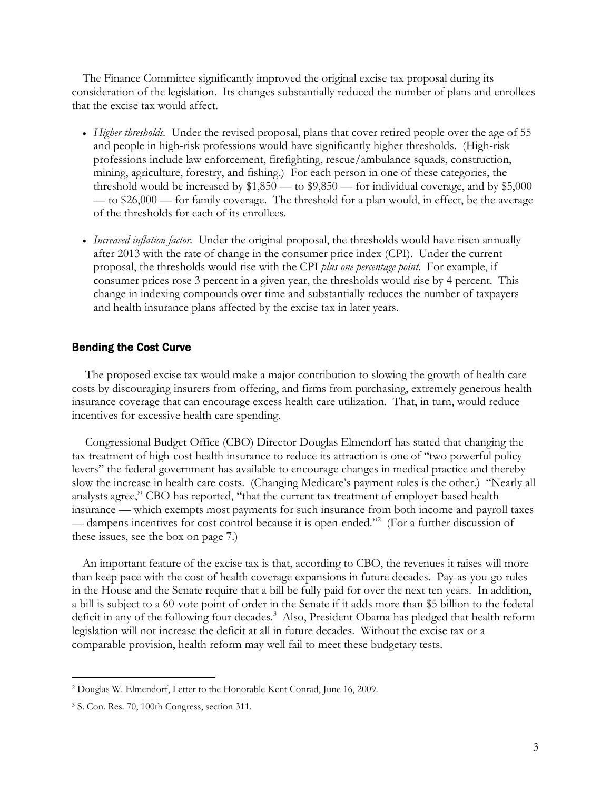The Finance Committee significantly improved the original excise tax proposal during its consideration of the legislation. Its changes substantially reduced the number of plans and enrollees that the excise tax would affect.

- *Higher thresholds.* Under the revised proposal, plans that cover retired people over the age of 55 and people in high-risk professions would have significantly higher thresholds. (High-risk professions include law enforcement, firefighting, rescue/ambulance squads, construction, mining, agriculture, forestry, and fishing.) For each person in one of these categories, the threshold would be increased by  $$1,850$  — to  $$9,850$  — for individual coverage, and by  $$5,000$ — to \$26,000 — for family coverage. The threshold for a plan would, in effect, be the average of the thresholds for each of its enrollees.
- *Increased inflation factor.* Under the original proposal, the thresholds would have risen annually after 2013 with the rate of change in the consumer price index (CPI). Under the current proposal, the thresholds would rise with the CPI *plus one percentage point*. For example, if consumer prices rose 3 percent in a given year, the thresholds would rise by 4 percent. This change in indexing compounds over time and substantially reduces the number of taxpayers and health insurance plans affected by the excise tax in later years.

# Bending the Cost Curve

The proposed excise tax would make a major contribution to slowing the growth of health care costs by discouraging insurers from offering, and firms from purchasing, extremely generous health insurance coverage that can encourage excess health care utilization. That, in turn, would reduce incentives for excessive health care spending.

Congressional Budget Office (CBO) Director Douglas Elmendorf has stated that changing the tax treatment of high-cost health insurance to reduce its attraction is one of "two powerful policy levers" the federal government has available to encourage changes in medical practice and thereby slow the increase in health care costs. (Changing Medicare's payment rules is the other.) "Nearly all analysts agree," CBO has reported, "that the current tax treatment of employer-based health insurance — which exempts most payments for such insurance from both income and payroll taxes — dampens incentives for cost control because it is open-ended."2 (For a further discussion of these issues, see the box on page 7.)

An important feature of the excise tax is that, according to CBO, the revenues it raises will more than keep pace with the cost of health coverage expansions in future decades. Pay-as-you-go rules in the House and the Senate require that a bill be fully paid for over the next ten years. In addition, a bill is subject to a 60-vote point of order in the Senate if it adds more than \$5 billion to the federal deficit in any of the following four decades.<sup>3</sup> Also, President Obama has pledged that health reform legislation will not increase the deficit at all in future decades. Without the excise tax or a comparable provision, health reform may well fail to meet these budgetary tests.

 $\overline{a}$ 2 Douglas W. Elmendorf, Letter to the Honorable Kent Conrad, June 16, 2009.

<sup>3</sup> S. Con. Res. 70, 100th Congress, section 311.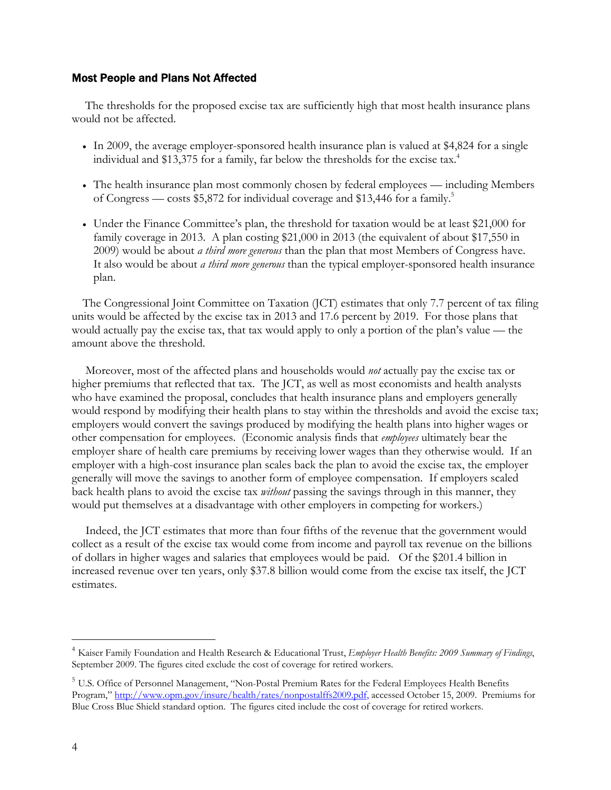## Most People and Plans Not Affected

The thresholds for the proposed excise tax are sufficiently high that most health insurance plans would not be affected.

- In 2009, the average employer-sponsored health insurance plan is valued at \$4,824 for a single individual and \$13,375 for a family, far below the thresholds for the excise tax.<sup>4</sup>
- The health insurance plan most commonly chosen by federal employees including Members of Congress — costs \$5,872 for individual coverage and \$13,446 for a family.<sup>5</sup>
- Under the Finance Committee's plan, the threshold for taxation would be at least \$21,000 for family coverage in 2013. A plan costing \$21,000 in 2013 (the equivalent of about \$17,550 in 2009) would be about *a third more generous* than the plan that most Members of Congress have. It also would be about *a third more generous* than the typical employer-sponsored health insurance plan.

The Congressional Joint Committee on Taxation (JCT) estimates that only 7.7 percent of tax filing units would be affected by the excise tax in 2013 and 17.6 percent by 2019. For those plans that would actually pay the excise tax, that tax would apply to only a portion of the plan's value — the amount above the threshold.

Moreover, most of the affected plans and households would *not* actually pay the excise tax or higher premiums that reflected that tax. The JCT, as well as most economists and health analysts who have examined the proposal, concludes that health insurance plans and employers generally would respond by modifying their health plans to stay within the thresholds and avoid the excise tax; employers would convert the savings produced by modifying the health plans into higher wages or other compensation for employees. (Economic analysis finds that *employees* ultimately bear the employer share of health care premiums by receiving lower wages than they otherwise would. If an employer with a high-cost insurance plan scales back the plan to avoid the excise tax, the employer generally will move the savings to another form of employee compensation. If employers scaled back health plans to avoid the excise tax *without* passing the savings through in this manner, they would put themselves at a disadvantage with other employers in competing for workers.)

Indeed, the JCT estimates that more than four fifths of the revenue that the government would collect as a result of the excise tax would come from income and payroll tax revenue on the billions of dollars in higher wages and salaries that employees would be paid. Of the \$201.4 billion in increased revenue over ten years, only \$37.8 billion would come from the excise tax itself, the JCT estimates.

-

<sup>4</sup> Kaiser Family Foundation and Health Research & Educational Trust, *Employer Health Benefits: 2009 Summary of Findings*, September 2009. The figures cited exclude the cost of coverage for retired workers.

<sup>&</sup>lt;sup>5</sup> U.S. Office of Personnel Management, "Non-Postal Premium Rates for the Federal Employees Health Benefits Program," http://www.opm.gov/insure/health/rates/nonpostalffs2009.pdf, accessed October 15, 2009. Premiums for Blue Cross Blue Shield standard option. The figures cited include the cost of coverage for retired workers.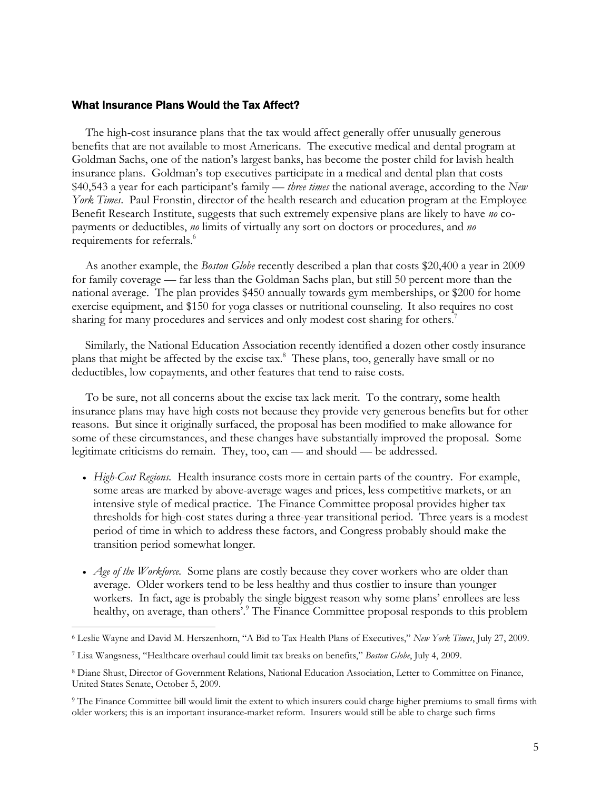### What Insurance Plans Would the Tax Affect?

The high-cost insurance plans that the tax would affect generally offer unusually generous benefits that are not available to most Americans. The executive medical and dental program at Goldman Sachs, one of the nation's largest banks, has become the poster child for lavish health insurance plans. Goldman's top executives participate in a medical and dental plan that costs \$40,543 a year for each participant's family — *three times* the national average, according to the *New York Times*. Paul Fronstin, director of the health research and education program at the Employee Benefit Research Institute, suggests that such extremely expensive plans are likely to have *no* copayments or deductibles, *no* limits of virtually any sort on doctors or procedures, and *no* requirements for referrals.<sup>6</sup>

As another example, the *Boston Globe* recently described a plan that costs \$20,400 a year in 2009 for family coverage — far less than the Goldman Sachs plan, but still 50 percent more than the national average. The plan provides \$450 annually towards gym memberships, or \$200 for home exercise equipment, and \$150 for yoga classes or nutritional counseling. It also requires no cost sharing for many procedures and services and only modest cost sharing for others.7

Similarly, the National Education Association recently identified a dozen other costly insurance plans that might be affected by the excise tax.<sup>8</sup> These plans, too, generally have small or no deductibles, low copayments, and other features that tend to raise costs.

To be sure, not all concerns about the excise tax lack merit. To the contrary, some health insurance plans may have high costs not because they provide very generous benefits but for other reasons. But since it originally surfaced, the proposal has been modified to make allowance for some of these circumstances, and these changes have substantially improved the proposal. Some legitimate criticisms do remain. They, too, can — and should — be addressed.

- *High-Cost Regions.* Health insurance costs more in certain parts of the country. For example, some areas are marked by above-average wages and prices, less competitive markets, or an intensive style of medical practice. The Finance Committee proposal provides higher tax thresholds for high-cost states during a three-year transitional period. Three years is a modest period of time in which to address these factors, and Congress probably should make the transition period somewhat longer.
- *Age of the Workforce.* Some plans are costly because they cover workers who are older than average. Older workers tend to be less healthy and thus costlier to insure than younger workers. In fact, age is probably the single biggest reason why some plans' enrollees are less healthy, on average, than others'.<sup>9</sup> The Finance Committee proposal responds to this problem

 $\overline{a}$ 

<sup>6</sup> Leslie Wayne and David M. Herszenhorn, "A Bid to Tax Health Plans of Executives," *New York Times*, July 27, 2009.

<sup>7</sup> Lisa Wangsness, "Healthcare overhaul could limit tax breaks on benefits," *Boston Globe*, July 4, 2009.

<sup>8</sup> Diane Shust, Director of Government Relations, National Education Association, Letter to Committee on Finance, United States Senate, October 5, 2009.

<sup>&</sup>lt;sup>9</sup> The Finance Committee bill would limit the extent to which insurers could charge higher premiums to small firms with older workers; this is an important insurance-market reform. Insurers would still be able to charge such firms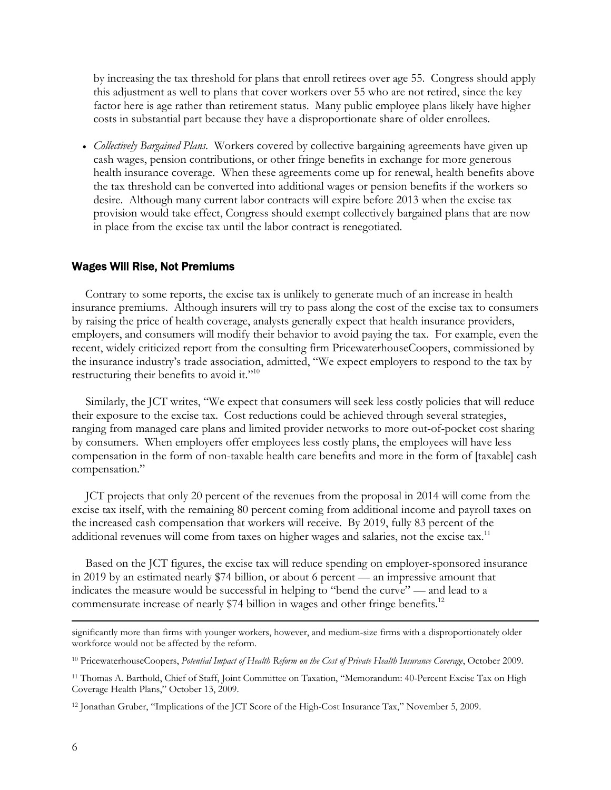by increasing the tax threshold for plans that enroll retirees over age 55. Congress should apply this adjustment as well to plans that cover workers over 55 who are not retired, since the key factor here is age rather than retirement status. Many public employee plans likely have higher costs in substantial part because they have a disproportionate share of older enrollees.

 *Collectively Bargained Plans*. Workers covered by collective bargaining agreements have given up cash wages, pension contributions, or other fringe benefits in exchange for more generous health insurance coverage. When these agreements come up for renewal, health benefits above the tax threshold can be converted into additional wages or pension benefits if the workers so desire. Although many current labor contracts will expire before 2013 when the excise tax provision would take effect, Congress should exempt collectively bargained plans that are now in place from the excise tax until the labor contract is renegotiated.

#### Wages Will Rise, Not Premiums

Contrary to some reports, the excise tax is unlikely to generate much of an increase in health insurance premiums. Although insurers will try to pass along the cost of the excise tax to consumers by raising the price of health coverage, analysts generally expect that health insurance providers, employers, and consumers will modify their behavior to avoid paying the tax. For example, even the recent, widely criticized report from the consulting firm PricewaterhouseCoopers, commissioned by the insurance industry's trade association, admitted, "We expect employers to respond to the tax by restructuring their benefits to avoid it."<sup>10</sup>

Similarly, the JCT writes, "We expect that consumers will seek less costly policies that will reduce their exposure to the excise tax. Cost reductions could be achieved through several strategies, ranging from managed care plans and limited provider networks to more out-of-pocket cost sharing by consumers. When employers offer employees less costly plans, the employees will have less compensation in the form of non-taxable health care benefits and more in the form of [taxable] cash compensation."

JCT projects that only 20 percent of the revenues from the proposal in 2014 will come from the excise tax itself, with the remaining 80 percent coming from additional income and payroll taxes on the increased cash compensation that workers will receive. By 2019, fully 83 percent of the additional revenues will come from taxes on higher wages and salaries, not the excise tax.<sup>11</sup>

Based on the JCT figures, the excise tax will reduce spending on employer-sponsored insurance in 2019 by an estimated nearly \$74 billion, or about 6 percent — an impressive amount that indicates the measure would be successful in helping to "bend the curve" — and lead to a commensurate increase of nearly \$74 billion in wages and other fringe benefits.<sup>12</sup>

significantly more than firms with younger workers, however, and medium-size firms with a disproportionately older workforce would not be affected by the reform.

<sup>10</sup> PricewaterhouseCoopers, *Potential Impact of Health Reform on the Cost of Private Health Insurance Coverage*, October 2009.

<sup>11</sup> Thomas A. Barthold, Chief of Staff, Joint Committee on Taxation, "Memorandum: 40-Percent Excise Tax on High Coverage Health Plans," October 13, 2009.

<sup>12</sup> Jonathan Gruber, "Implications of the JCT Score of the High-Cost Insurance Tax," November 5, 2009.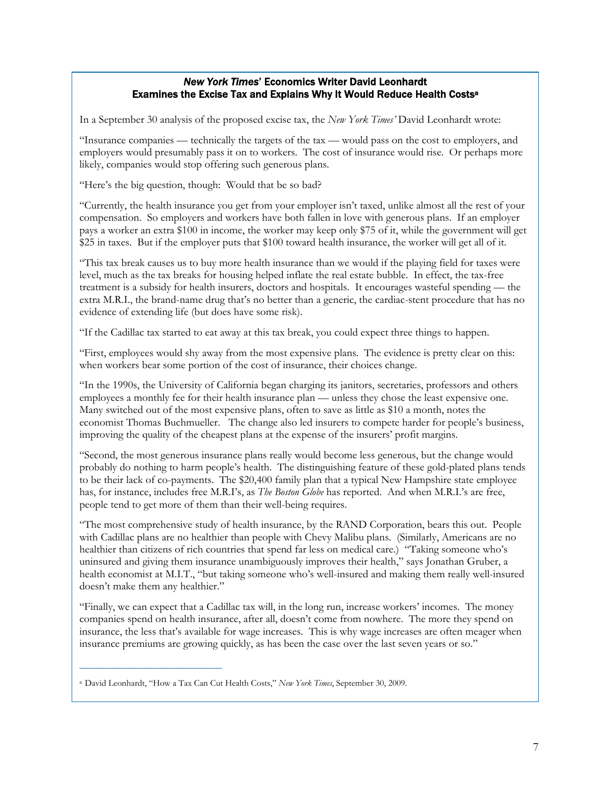## *New York Times*' Economics Writer David Leonhardt Examines the Excise Tax and Explains Why It Would Reduce Health Costsa

In a September 30 analysis of the proposed excise tax, the *New York Times'* David Leonhardt wrote:

"Insurance companies — technically the targets of the tax — would pass on the cost to employers, and employers would presumably pass it on to workers. The cost of insurance would rise. Or perhaps more likely, companies would stop offering such generous plans.

"Here's the big question, though: Would that be so bad?

"Currently, the health insurance you get from your employer isn't taxed, unlike almost all the rest of your compensation. So employers and workers have both fallen in love with generous plans. If an employer pays a worker an extra \$100 in income, the worker may keep only \$75 of it, while the government will get \$25 in taxes. But if the employer puts that \$100 toward health insurance, the worker will get all of it.

"This tax break causes us to buy more health insurance than we would if the playing field for taxes were level, much as the tax breaks for housing helped inflate the real estate bubble. In effect, the tax-free treatment is a subsidy for health insurers, doctors and hospitals. It encourages wasteful spending — the extra M.R.I., the brand-name drug that's no better than a generic, the cardiac-stent procedure that has no evidence of extending life (but does have some risk).

"If the Cadillac tax started to eat away at this tax break, you could expect three things to happen.

"First, employees would shy away from the most expensive plans. The evidence is pretty clear on this: when workers bear some portion of the cost of insurance, their choices change.

"In the 1990s, the University of California began charging its janitors, secretaries, professors and others employees a monthly fee for their health insurance plan — unless they chose the least expensive one. Many switched out of the most expensive plans, often to save as little as \$10 a month, notes the economist Thomas Buchmueller. The change also led insurers to compete harder for people's business, improving the quality of the cheapest plans at the expense of the insurers' profit margins.

"Second, the most generous insurance plans really would become less generous, but the change would probably do nothing to harm people's health. The distinguishing feature of these gold-plated plans tends to be their lack of co-payments. The \$20,400 family plan that a typical New Hampshire state employee has, for instance, includes free M.R.I's, as *The Boston Globe* has reported. And when M.R.I.'s are free, people tend to get more of them than their well-being requires.

"The most comprehensive study of health insurance, by the RAND Corporation, bears this out. People with Cadillac plans are no healthier than people with Chevy Malibu plans. (Similarly, Americans are no healthier than citizens of rich countries that spend far less on medical care.) "Taking someone who's uninsured and giving them insurance unambiguously improves their health," says Jonathan Gruber, a health economist at M.I.T., "but taking someone who's well-insured and making them really well-insured doesn't make them any healthier."

"Finally, we can expect that a Cadillac tax will, in the long run, increase workers' incomes. The money companies spend on health insurance, after all, doesn't come from nowhere. The more they spend on insurance, the less that's available for wage increases. This is why wage increases are often meager when insurance premiums are growing quickly, as has been the case over the last seven years or so."

\_\_\_\_\_\_\_\_\_\_\_\_\_\_\_\_\_\_\_\_\_\_\_\_\_\_

a David Leonhardt, "How a Tax Can Cut Health Costs," *New York Times*, September 30, 2009.